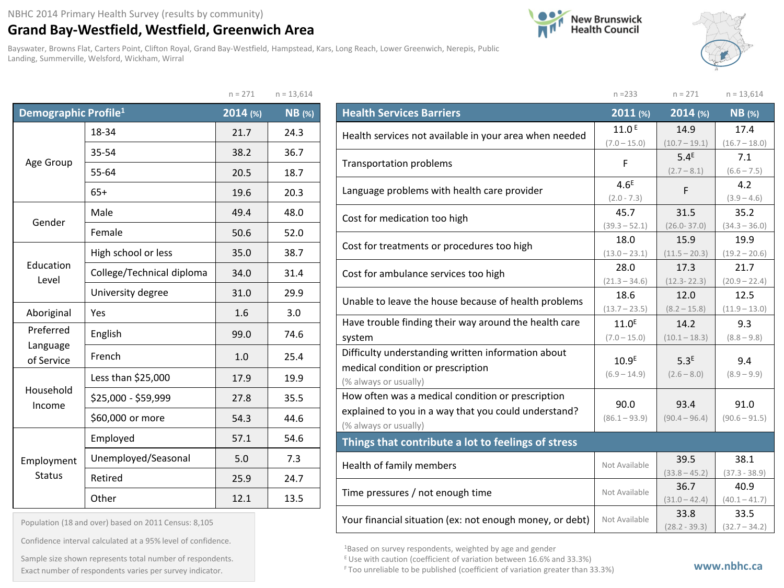## **Grand Bay-Westfield, Westfield, Greenwich Area**

Bayswater, Browns Flat, Carters Point, Clifton Royal, Grand Bay-Westfield, Hampstead, Kars, Long Reach, Lower Greenwich, Nerepis, Public Landing, Summerville, Welsford, Wickham, Wirral

 $n = 271$   $n = 12,614$ 





|                                  |                           | $11 - 27$ | $11 - 13,014$ |
|----------------------------------|---------------------------|-----------|---------------|
| Demographic Profile <sup>1</sup> |                           | 2014 (%)  | <b>NB</b> (%) |
|                                  | 18-34                     | 21.7      | 24.3          |
|                                  | 35-54                     | 38.2      | 36.7          |
| Age Group                        | 55-64                     | 20.5      | 18.7          |
|                                  | $65+$                     | 19.6      | 20.3          |
| Gender                           | Male                      | 49.4      | 48.0          |
|                                  | Female                    | 50.6      | 52.0          |
|                                  | High school or less       | 35.0      | 38.7          |
| Education<br>Level               | College/Technical diploma | 34.0      | 31.4          |
|                                  | University degree         | 31.0      | 29.9          |
| Aboriginal<br>Yes                |                           | 1.6       | 3.0           |
| Preferred                        | English                   | 99.0      | 74.6          |
| Language<br>of Service           | French                    | 1.0       | 25.4          |
|                                  | Less than \$25,000        | 17.9      | 19.9          |
| Household<br>Income              | \$25,000 - \$59,999       | 27.8      | 35.5          |
|                                  | \$60,000 or more          | 54.3      | 44.6          |
|                                  | Employed                  | 57.1      | 54.6          |
| Employment<br><b>Status</b>      | Unemployed/Seasonal       | 5.0       | 7.3           |
|                                  | Retired                   | 25.9      | 24.7          |
|                                  | Other                     | 12.1      | 13.5          |

|                                                                                                                                    | $n = 233$                           | $n = 271$                           | $n = 13,614$            |
|------------------------------------------------------------------------------------------------------------------------------------|-------------------------------------|-------------------------------------|-------------------------|
| <b>Health Services Barriers</b>                                                                                                    | 2011 (%)                            | 2014 (%)                            | <b>NB</b> (%)           |
| Health services not available in your area when needed                                                                             | 11.0 <sup>E</sup>                   | 14.9                                | 17.4                    |
| <b>Transportation problems</b>                                                                                                     | $(7.0 - 15.0)$<br>F                 | $(10.7 - 19.1)$<br>5.4 <sup>E</sup> | $(16.7 - 18.0)$<br>7.1  |
|                                                                                                                                    |                                     | $(2.7 - 8.1)$                       | $(6.6 - 7.5)$           |
| Language problems with health care provider                                                                                        | 4.6 <sup>E</sup><br>$(2.0 - 7.3)$   | F                                   | 4.2<br>$(3.9 - 4.6)$    |
| Cost for medication too high                                                                                                       | 45.7                                | 31.5                                | 35.2                    |
| Cost for treatments or procedures too high                                                                                         | $(39.3 - 52.1)$<br>18.0             | $(26.0 - 37.0)$<br>15.9             | $(34.3 - 36.0)$<br>19.9 |
|                                                                                                                                    | $(13.0 - 23.1)$                     | $(11.5 - 20.3)$                     | $(19.2 - 20.6)$         |
| Cost for ambulance services too high                                                                                               | 28.0<br>$(21.3 - 34.6)$             | 17.3<br>$(12.3 - 22.3)$             | 21.7<br>$(20.9 - 22.4)$ |
| Unable to leave the house because of health problems                                                                               | 18.6<br>$(13.7 - 23.5)$             | 12.0<br>$(8.2 - 15.8)$              | 12.5<br>$(11.9 - 13.0)$ |
| Have trouble finding their way around the health care                                                                              | 11.0 <sup>E</sup>                   | 14.2                                | 9.3                     |
| system                                                                                                                             | $(7.0 - 15.0)$                      | $(10.1 - 18.3)$                     | $(8.8 - 9.8)$           |
| Difficulty understanding written information about<br>medical condition or prescription<br>(% always or usually)                   | 10.9 <sup>E</sup><br>$(6.9 - 14.9)$ | 5.3 <sup>E</sup><br>$(2.6 - 8.0)$   | 9.4<br>$(8.9 - 9.9)$    |
| How often was a medical condition or prescription<br>explained to you in a way that you could understand?<br>(% always or usually) | 90.0<br>$(86.1 - 93.9)$             | 93.4<br>$(90.4 - 96.4)$             | 91.0<br>$(90.6 - 91.5)$ |
| Things that contribute a lot to feelings of stress                                                                                 |                                     |                                     |                         |
| Health of family members                                                                                                           | Not Available                       | 39.5<br>$(33.8 - 45.2)$             | 38.1<br>$(37.3 - 38.9)$ |
| Time pressures / not enough time                                                                                                   | Not Available                       | 36.7<br>$(31.0 - 42.4)$             | 40.9<br>$(40.1 - 41.7)$ |
| Your financial situation (ex: not enough money, or debt)                                                                           | Not Available                       | 33.8<br>$(28.2 - 39.3)$             | 33.5<br>$(32.7 - 34.2)$ |

1Based on survey respondents, weighted by age and gender

E Use with caution (coefficient of variation between 16.6% and 33.3%)

Population (18 and over) based on 2011 Census: 8,105

Confidence interval calculated at a 95% level of confidence.

Exact number of respondents varies per survey indicator. **Exact number of respondents varies per survey** indicator. Sample size shown represents total number of respondents.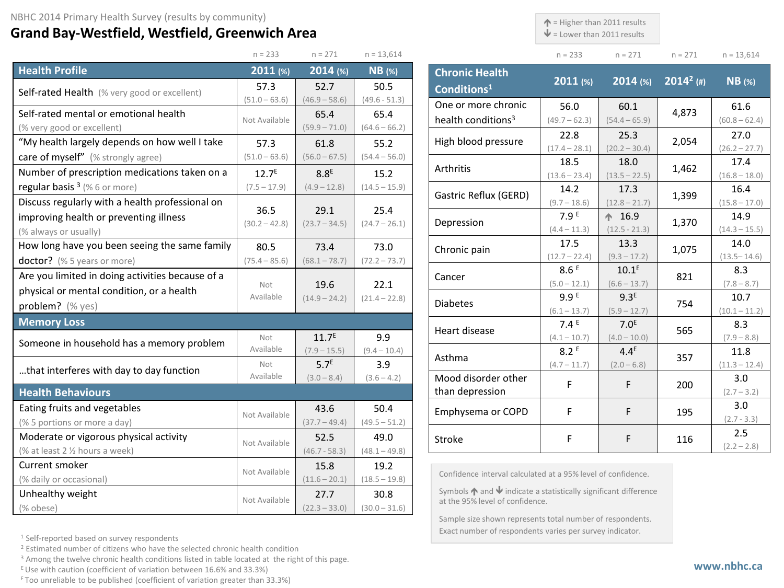## **Grand Bay-Westfield, Westfield, Greenwich Area**

 $\uparrow$  = Higher than 2011 results

 $\mathbf{\Psi}$  = Lower than 2011 results

| $n = 233$ | $n = 271$ | $n = 271$ | $n = 13,614$ |
|-----------|-----------|-----------|--------------|

|                                                  | $n = 233$       | $n = 271$         | $n = 13,614$    |  |
|--------------------------------------------------|-----------------|-------------------|-----------------|--|
| <b>Health Profile</b>                            | $2011$ (%)      | 2014 (%)          | $NB$ (%)        |  |
| Self-rated Health (% very good or excellent)     | 57.3            | 52.7              | 50.5            |  |
|                                                  | $(51.0 - 63.6)$ | $(46.9 - 58.6)$   | $(49.6 - 51.3)$ |  |
| Self-rated mental or emotional health            | Not Available   | 65.4              | 65.4            |  |
| (% very good or excellent)                       |                 | $(59.9 - 71.0)$   | $(64.6 - 66.2)$ |  |
| "My health largely depends on how well I take    | 57.3            | 61.8              | 55.2            |  |
| care of myself" (% strongly agree)               | $(51.0 - 63.6)$ | $(56.0 - 67.5)$   | $(54.4 - 56.0)$ |  |
| Number of prescription medications taken on a    | $12.7^{E}$      | 8.8 <sup>E</sup>  | 15.2            |  |
| regular basis $3$ (% 6 or more)                  | $(7.5 - 17.9)$  | $(4.9 - 12.8)$    | $(14.5 - 15.9)$ |  |
| Discuss regularly with a health professional on  | 36.5            | 29.1              | 25.4            |  |
| improving health or preventing illness           |                 |                   |                 |  |
| (% always or usually)                            | $(30.2 - 42.8)$ | $(23.7 - 34.5)$   | $(24.7 - 26.1)$ |  |
| How long have you been seeing the same family    | 80.5            | 73.4              | 73.0            |  |
| doctor? (% 5 years or more)                      | $(75.4 - 85.6)$ | $(68.1 - 78.7)$   | $(72.2 - 73.7)$ |  |
| Are you limited in doing activities because of a |                 |                   |                 |  |
| physical or mental condition, or a health        | Not             | 19.6              | 22.1            |  |
| problem? (% yes)                                 | Available       | $(14.9 - 24.2)$   | $(21.4 - 22.8)$ |  |
| <b>Memory Loss</b>                               |                 |                   |                 |  |
| Someone in household has a memory problem        | Not             | 11.7 <sup>E</sup> | 9.9             |  |
|                                                  | Available       | $(7.9 - 15.5)$    | $(9.4 - 10.4)$  |  |
| that interferes with day to day function         | Not             | 5.7 <sup>E</sup>  | 3.9             |  |
|                                                  | Available       | $(3.0 - 8.4)$     | $(3.6 - 4.2)$   |  |
| <b>Health Behaviours</b>                         |                 |                   |                 |  |
| Eating fruits and vegetables                     | Not Available   | 43.6              | 50.4            |  |
| (% 5 portions or more a day)                     |                 | $(37.7 - 49.4)$   | $(49.5 - 51.2)$ |  |
| Moderate or vigorous physical activity           | Not Available   | 52.5              | 49.0            |  |
| (% at least 2 1/2 hours a week)                  |                 | $(46.7 - 58.3)$   | $(48.1 - 49.8)$ |  |
| Current smoker                                   | Not Available   | 15.8              | 19.2            |  |
| (% daily or occasional)                          |                 | $(11.6 - 20.1)$   | $(18.5 - 19.8)$ |  |
| Unhealthy weight                                 | Not Available   | 27.7              | 30.8            |  |
| (% obese)                                        |                 | $(22.3 - 33.0)$   | $(30.0 - 31.6)$ |  |

| <b>Chronic Health</b><br>Conditions <sup>1</sup> | 2011(%)                 | $2014$ (%)                         | $2014^2$ (#) | $NB$ (%)                |
|--------------------------------------------------|-------------------------|------------------------------------|--------------|-------------------------|
| One or more chronic                              | 56.0                    | 60.1                               | 4,873        | 61.6                    |
| health conditions <sup>3</sup>                   | $(49.7 - 62.3)$         | $(54.4 - 65.9)$                    |              | $(60.8 - 62.4)$         |
| High blood pressure                              | 22.8                    | 25.3                               | 2,054        | 27.0                    |
|                                                  | $(17.4 - 28.1)$         | $(20.2 - 30.4)$                    |              | $(26.2 - 27.7)$         |
| Arthritis                                        | 18.5<br>$(13.6 - 23.4)$ | 18.0<br>$(13.5 - 22.5)$            | 1,462        | 17.4<br>$(16.8 - 18.0)$ |
| Gastric Reflux (GERD)                            | 14.2                    | 17.3                               | 1,399        | 16.4                    |
|                                                  | $(9.7 - 18.6)$          | $(12.8 - 21.7)$                    |              | $(15.8 - 17.0)$         |
| Depression                                       | 7.9 <sup>E</sup>        | $\spadesuit$ 16.9                  | 1,370        | 14.9                    |
|                                                  | $(4.4 - 11.3)$          | $(12.5 - 21.3)$                    |              | $(14.3 - 15.5)$         |
| Chronic pain                                     | 17.5                    | 13.3                               | 1,075        | 14.0                    |
|                                                  | $(12.7 - 22.4)$         | $(9.3 - 17.2)$                     |              | $(13.5 - 14.6)$         |
| Cancer                                           | 8.6E                    | 10.1 <sup>E</sup>                  | 821          | 8.3                     |
|                                                  | $(5.0 - 12.1)$          | $(6.6 - 13.7)$                     |              | $(7.8 - 8.7)$           |
| <b>Diabetes</b>                                  | 9.9 E                   | 9.3 <sup>E</sup>                   | 754          | 10.7                    |
|                                                  | $(6.1 - 13.7)$          | $(5.9 - 12.7)$                     |              | $(10.1 - 11.2)$         |
| Heart disease                                    | 7.4E<br>$(4.1 - 10.7)$  | 7.0 <sup>E</sup><br>$(4.0 - 10.0)$ | 565          | 8.3<br>$(7.9 - 8.8)$    |
|                                                  | 8.2E                    | $44^E$                             |              | 11.8                    |
| Asthma                                           | $(4.7 - 11.7)$          | $(2.0 - 6.8)$                      | 357          | $(11.3 - 12.4)$         |
| Mood disorder other                              | F                       | F                                  | 200          | 3.0                     |
| than depression                                  |                         |                                    |              | $(2.7 - 3.2)$           |
| Emphysema or COPD                                | F                       | F                                  | 195          | 3.0                     |
|                                                  |                         |                                    |              | $(2.7 - 3.3)$           |
| <b>Stroke</b>                                    | F                       | F                                  | 116          | 2.5                     |
|                                                  |                         |                                    |              | $(2.2 - 2.8)$           |

Confidence interval calculated at a 95% level of confidence.

Symbols  $\bigwedge$  and  $\bigvee$  indicate a statistically significant difference at the 95% level of confidence.

Sample size shown represents total number of respondents. Exact number of respondents varies per survey indicator.

<sup>1</sup> Self-reported based on survey respondents

<sup>2</sup> Estimated number of citizens who have the selected chronic health condition

<sup>3</sup> Among the twelve chronic health conditions listed in table located at the right of this page.

 $E$  Use with caution (coefficient of variation between 16.6% and 33.3%)

F Too unreliable to be published (coefficient of variation greater than 33.3%)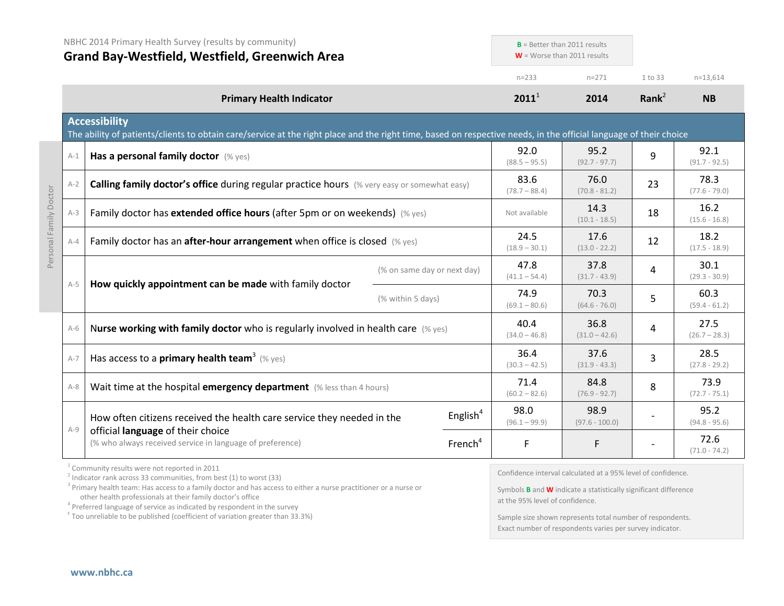| NBHC 2014 Primary Health Survey (results by community)<br><b>Grand Bay-Westfield, Westfield, Greenwich Area</b> |                                                                                                                                                                                           | $B =$ Better than 2011 results<br>$W =$ Worse than 2011 results |                         |                         |                                                              |                         |                         |
|-----------------------------------------------------------------------------------------------------------------|-------------------------------------------------------------------------------------------------------------------------------------------------------------------------------------------|-----------------------------------------------------------------|-------------------------|-------------------------|--------------------------------------------------------------|-------------------------|-------------------------|
|                                                                                                                 |                                                                                                                                                                                           |                                                                 |                         | $n = 233$               | $n = 271$                                                    | 1 to 33                 | $n=13,614$              |
|                                                                                                                 | <b>Primary Health Indicator</b>                                                                                                                                                           |                                                                 |                         | $2011^1$                | 2014                                                         | Rank $2$                | <b>NB</b>               |
|                                                                                                                 | <b>Accessibility</b><br>The ability of patients/clients to obtain care/service at the right place and the right time, based on respective needs, in the official language of their choice |                                                                 |                         |                         |                                                              |                         |                         |
| $A-1$                                                                                                           | Has a personal family doctor (% yes)                                                                                                                                                      |                                                                 |                         | 92.0<br>$(88.5 - 95.5)$ | 95.2<br>$(92.7 - 97.7)$                                      | 9                       | 92.1<br>$(91.7 - 92.5)$ |
| $A-2$                                                                                                           | Calling family doctor's office during regular practice hours (% very easy or somewhat easy)                                                                                               |                                                                 |                         | 83.6<br>$(78.7 - 88.4)$ | 76.0<br>$(70.8 - 81.2)$                                      | 23                      | 78.3<br>$(77.6 - 79.0)$ |
| $A-3$                                                                                                           | Family doctor has extended office hours (after 5pm or on weekends) (% yes)                                                                                                                |                                                                 |                         | Not available           | 14.3<br>$(10.1 - 18.5)$                                      | 18                      | 16.2<br>$(15.6 - 16.8)$ |
| $A - 4$                                                                                                         | Family doctor has an after-hour arrangement when office is closed (% yes)                                                                                                                 |                                                                 | 24.5<br>$(18.9 - 30.1)$ | 17.6<br>$(13.0 - 22.2)$ | 12                                                           | 18.2<br>$(17.5 - 18.9)$ |                         |
| $A-5$                                                                                                           | How quickly appointment can be made with family doctor                                                                                                                                    | (% on same day or next day)                                     |                         | 47.8<br>$(41.1 - 54.4)$ | 37.8<br>$(31.7 - 43.9)$                                      | 4                       | 30.1<br>$(29.3 - 30.9)$ |
|                                                                                                                 | (% within 5 days)                                                                                                                                                                         |                                                                 |                         | 74.9<br>$(69.1 - 80.6)$ | 70.3<br>$(64.6 - 76.0)$                                      | 5                       | 60.3<br>$(59.4 - 61.2)$ |
| $A-6$                                                                                                           | Nurse working with family doctor who is regularly involved in health care $(\%$ yes)                                                                                                      |                                                                 |                         | 40.4<br>$(34.0 - 46.8)$ | 36.8<br>$(31.0 - 42.6)$                                      | 4                       | 27.5<br>$(26.7 - 28.3)$ |
| $A-7$                                                                                                           | Has access to a <b>primary health team</b> <sup>3</sup> (% yes)                                                                                                                           |                                                                 |                         | 36.4<br>$(30.3 - 42.5)$ | 37.6<br>$(31.9 - 43.3)$                                      | 3                       | 28.5<br>$(27.8 - 29.2)$ |
| $A-8$                                                                                                           | Wait time at the hospital emergency department (% less than 4 hours)                                                                                                                      |                                                                 | 71.4<br>$(60.2 - 82.6)$ | 84.8<br>$(76.9 - 92.7)$ | 8                                                            | 73.9<br>$(72.7 - 75.1)$ |                         |
| $A-9$                                                                                                           | How often citizens received the health care service they needed in the                                                                                                                    |                                                                 | English <sup>4</sup>    | 98.0<br>$(96.1 - 99.9)$ | 98.9<br>$(97.6 - 100.0)$                                     |                         | 95.2<br>$(94.8 - 95.6)$ |
|                                                                                                                 | official language of their choice<br>(% who always received service in language of preference)                                                                                            |                                                                 | French <sup>4</sup>     | F                       | F                                                            |                         | 72.6<br>$(71.0 - 74.2)$ |
|                                                                                                                 | <sup>1</sup> Community results were not reported in 2011<br>$2$ Indicator rank across 33 communities, from best (1) to worst (33)                                                         |                                                                 |                         |                         | Confidence interval calculated at a 95% level of confidence. |                         |                         |

<sup>3</sup> Primary health team: Has access to a family doctor and has access to either a nurse practitioner or a nurse or other health professionals at their family doctor's office

 $4$  Preferred language of service as indicated by respondent in the survey

<sup>F</sup> Too unreliable to be published (coefficient of variation greater than 33.3%)

Symbols **B** and **W** indicate a statistically significant difference at the 95% level of confidence.

Sample size shown represents total number of respondents. Exact number of respondents varies per survey indicator.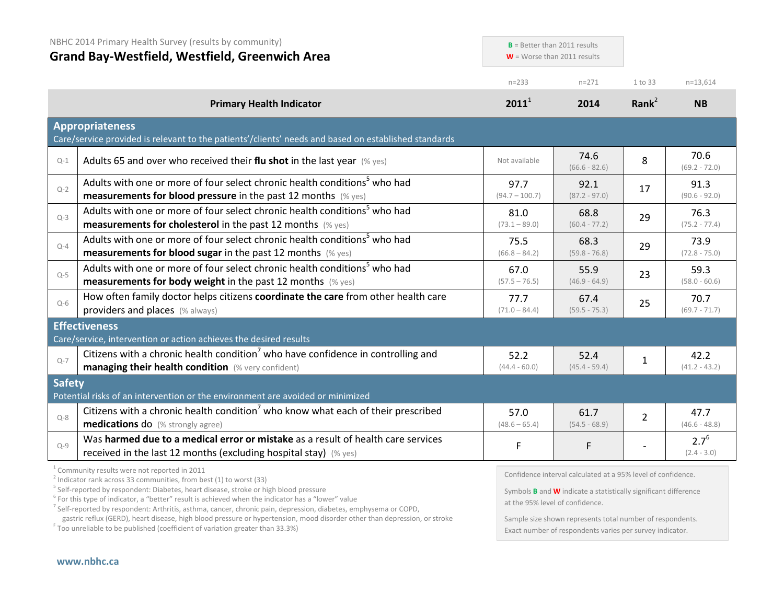|               | NBHC 2014 Primary Health Survey (results by community)<br><b>Grand Bay-Westfield, Westfield, Greenwich Area</b>                                                  | $W =$ Worse than 2011 results | $B =$ Better than 2011 results                              |                   |                            |
|---------------|------------------------------------------------------------------------------------------------------------------------------------------------------------------|-------------------------------|-------------------------------------------------------------|-------------------|----------------------------|
|               |                                                                                                                                                                  | $n = 233$                     | $n = 271$                                                   | 1 to 33           | $n=13,614$                 |
|               | <b>Primary Health Indicator</b>                                                                                                                                  | $2011^1$                      | 2014                                                        | Rank <sup>2</sup> | <b>NB</b>                  |
|               | <b>Appropriateness</b><br>Care/service provided is relevant to the patients'/clients' needs and based on established standards                                   |                               |                                                             |                   |                            |
| $Q-1$         | Adults 65 and over who received their flu shot in the last year $(\%$ yes)                                                                                       | Not available                 | 74.6<br>$(66.6 - 82.6)$                                     | 8                 | 70.6<br>$(69.2 - 72.0)$    |
| $Q-2$         | Adults with one or more of four select chronic health conditions <sup>5</sup> who had<br><b>measurements for blood pressure</b> in the past 12 months $(\%$ yes) | 97.7<br>$(94.7 - 100.7)$      | 92.1<br>$(87.2 - 97.0)$                                     | 17                | 91.3<br>$(90.6 - 92.0)$    |
| $Q-3$         | Adults with one or more of four select chronic health conditions <sup>5</sup> who had<br><b>measurements for cholesterol</b> in the past 12 months (% yes)       | 81.0<br>$(73.1 - 89.0)$       | 68.8<br>$(60.4 - 77.2)$                                     | 29                | 76.3<br>$(75.2 - 77.4)$    |
| $Q - 4$       | Adults with one or more of four select chronic health conditions <sup>5</sup> who had<br><b>measurements for blood sugar in the past 12 months</b> (% yes)       | 75.5<br>$(66.8 - 84.2)$       | 68.3<br>$(59.8 - 76.8)$                                     | 29                | 73.9<br>$(72.8 - 75.0)$    |
| $Q-5$         | Adults with one or more of four select chronic health conditions <sup>5</sup> who had<br><b>measurements for body weight</b> in the past 12 months (% yes)       | 67.0<br>$(57.5 - 76.5)$       | 55.9<br>$(46.9 - 64.9)$                                     | 23                | 59.3<br>$(58.0 - 60.6)$    |
| $Q-6$         | How often family doctor helps citizens coordinate the care from other health care<br>providers and places (% always)                                             | 77.7<br>$(71.0 - 84.4)$       | 67.4<br>$(59.5 - 75.3)$                                     | 25                | 70.7<br>$(69.7 - 71.7)$    |
|               | <b>Effectiveness</b><br>Care/service, intervention or action achieves the desired results                                                                        |                               |                                                             |                   |                            |
| $Q-7$         | Citizens with a chronic health condition <sup>7</sup> who have confidence in controlling and<br>managing their health condition (% very confident)               | 52.2<br>$(44.4 - 60.0)$       | 52.4<br>$(45.4 - 59.4)$                                     | $\mathbf{1}$      | 42.2<br>$(41.2 - 43.2)$    |
| <b>Safety</b> | Potential risks of an intervention or the environment are avoided or minimized                                                                                   |                               |                                                             |                   |                            |
| $Q - 8$       | Citizens with a chronic health condition <sup>7</sup> who know what each of their prescribed<br>medications do (% strongly agree)                                | 57.0<br>$(48.6 - 65.4)$       | 61.7<br>$(54.5 - 68.9)$                                     | $\overline{2}$    | 47.7<br>$(46.6 - 48.8)$    |
| $Q - 9$       | Was harmed due to a medical error or mistake as a result of health care services<br>received in the last 12 months (excluding hospital stay) (% yes)             | F                             | F                                                           |                   | $2.7^{6}$<br>$(2.4 - 3.0)$ |
|               | <sup>1</sup> Community results were not reported in 2011                                                                                                         |                               | Confidence interval calculated at a 95% level of confidence |                   |                            |

 $2$  Indicator rank across 33 communities, from best (1) to worst (33)

<sup>5</sup> Self-reported by respondent: Diabetes, heart disease, stroke or high blood pressure

 $6$  For this type of indicator, a "better" result is achieved when the indicator has a "lower" value

<sup>7</sup> Self-reported by respondent: Arthritis, asthma, cancer, chronic pain, depression, diabetes, emphysema or COPD,

 $\frac{1}{2}$  Too unreliable to be published (coefficient of variation greater than 33.3%)

Confidence interval calculated at a 95% level of confidence.

Symbols **B** and **W** indicate a statistically significant difference at the 95% level of confidence.

Sample size shown represents total number of respondents. Exact number of respondents varies per survey indicator.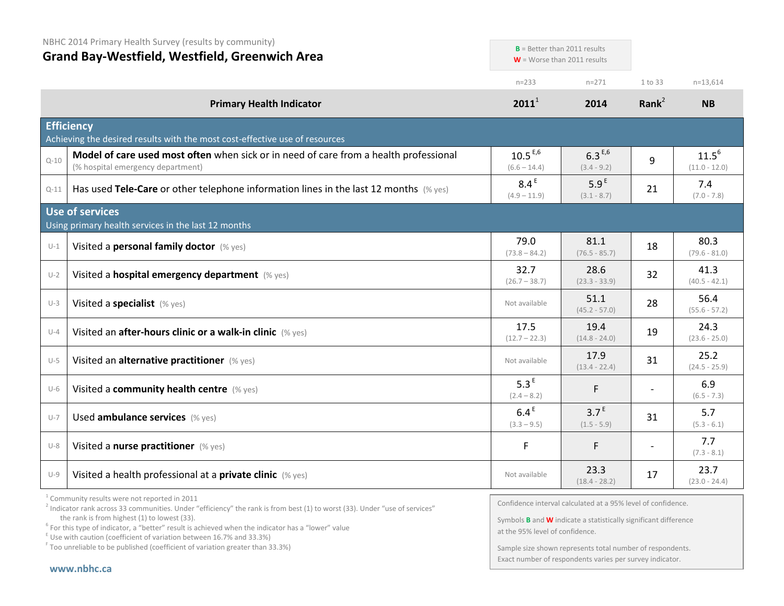NBHC 2014 Primary Health Survey (results by community) **Grand Bay-Westfield, Westfield, Greenwich Area** n=233 n=271 1 to 33 n=13,614 **Primary Health Indicator 2011**<sup>1</sup> **2014 Rank**<sup>2</sup> **NB Efficiency** Achieving the desired results with the most cost-effective use of resources  $_{\text{Q-10}}$  **Model of care used most often** when sick or in need of care from a health professional (% hospital emergency department)  $10.5^{E,6}$  $(6.6 - 14.4)$  $6.3^{E,6}$  $(3.4 - 9.2)$ 9  $11.5^6$ (11.0 - 12.0) Q-11 **Has used Tele-Care** or other telephone information lines in the last 12 months (% yes) 8.4<sup>E</sup>  $(4.9 - 11.9)$  $5.9<sup>E</sup>$  $(3.1 - 8.7)$  $21$  7.4 (7.0 - 7.8) **Use of services** Using primary health services in the last 12 months U-1 Visited a **personal family doctor** (% yes) 79.0  $(73.8 - 84.2)$ 81.1 (76.5 - 85.7)  $18$  80.3  $(79.6 - 81.0)$ U-2 Visited a **hospital emergency department** (% yes) 32.7  $(26.7 - 38.7)$ 28.6 (23.3 - 33.9)  $32 \mid 41.3$  $(40.5 - 42.1)$  $U-3$  Visited a specialist  $(\%$  yes)  $51.1$  $(45.2 - 57.0)$ <sup>28</sup> 56.4 (55.6 - 57.2) U-4 Visited an **after-hours clinic or a walk-in clinic** (% yes) 17.5  $(12.7 - 22.3)$ 19.4  $(14.8 - 24.0)$  $19$  24.3 (23.6 - 25.0) U-5 Visited an **alternative practitioner** (% yes) Not available Not available 17.9  $(13.4 - 22.4)$  $31$  25.2  $(24.5 - 25.9)$ U-6 Visited a **community health centre** (% yes) 5.3<sup>E</sup>  $(2.4 - 8.2)$ F  $6.9$  $(6.5 - 7.3)$  $U$ -7 Used **ambulance services** (% yes) 6.4 E  $(3.3 - 9.5)$  $3.7<sup>E</sup>$  $(1.5 - 5.9)$  $31$  5.7  $(5.3 - 6.1)$ U-8 Visited a **nurse practitioner** (% yes)  $\begin{array}{ccc} \n\text{U-8} & \text{F} \\
\text{U-8} & \text{F}\n\end{array}$  F  $\begin{array}{ccc} \n\end{array}$  F  $\begin{array}{ccc} \n\end{array}$  7.7 (7.3 - 8.1) U-9 Visited a health professional at a **private clinic** (% yes) Not available Not available 23.3 (18.4 - 28.2)  $17$  23.7 (23.0 - 24.4) **B** = Better than 2011 results **W** = Worse than 2011 results

Confidence interval calculated at a 95% level of confidence.

Symbols **B** and **W** indicate a statistically significant difference at the 95% level of confidence.

Sample size shown represents total number of respondents. Exact number of respondents varies per survey indicator.

<sup>1</sup> Community results were not reported in 2011

 $2$  Indicator rank across 33 communities. Under "efficiency" the rank is from best (1) to worst (33). Under "use of services" the rank is from highest (1) to lowest (33).<br><sup>6</sup> For this type of indicator, a "better" result is achieved when the indicator has a "lower" value

 $E$  Use with caution (coefficient of variation between 16.7% and 33.3%)

<sup>F</sup> Too unreliable to be published (coefficient of variation greater than 33.3%)